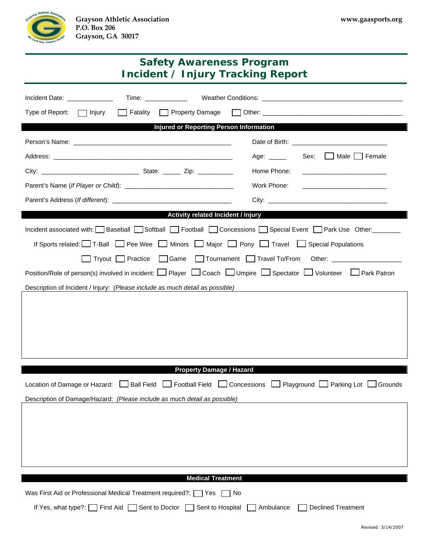

| <b>Safety Awareness Program</b><br><b>Incident / Injury Tracking Report</b>                                                                    |                                                                                                                                      |  |
|------------------------------------------------------------------------------------------------------------------------------------------------|--------------------------------------------------------------------------------------------------------------------------------------|--|
| Incident Date: New York Date:                                                                                                                  |                                                                                                                                      |  |
| Type of Report:<br>$\Box$ Injury                                                                                                               |                                                                                                                                      |  |
| <b>Injured or Reporting Person Information</b>                                                                                                 |                                                                                                                                      |  |
|                                                                                                                                                |                                                                                                                                      |  |
|                                                                                                                                                | Male Female<br>Sex:<br>Age: _____                                                                                                    |  |
|                                                                                                                                                | Home Phone:<br><u> 1980 - Jan James James Barbara, politik eta politik eta politik eta politik eta politik eta politik eta poli</u>  |  |
|                                                                                                                                                | Work Phone:<br><u> 1989 - Johann Harry Harry Harry Harry Harry Harry Harry Harry Harry Harry Harry Harry Harry Harry Harry Harry</u> |  |
|                                                                                                                                                |                                                                                                                                      |  |
|                                                                                                                                                | Activity related Incident / Injury                                                                                                   |  |
| Incident associated with: Baseball Softball Football Concessions Special Event Park Use Other:                                                 |                                                                                                                                      |  |
| If Sports related: T-Ball Pee Wee Minors Major Pony Travel Special Populations                                                                 |                                                                                                                                      |  |
|                                                                                                                                                | Tryout Practice Game Tournament Travel To/From Other: __________________________                                                     |  |
| Position/Role of person(s) involved in incident: $\Box$ Player $\Box$ Coach $\Box$ Umpire $\Box$ Spectator $\Box$ Volunteer $\Box$ Park Patron |                                                                                                                                      |  |
| Description of Incident / Injury: (Please include as much detail as possible)<br><u> 1980 - John Stein, Amerikaansk politiker (</u> † 1920)    |                                                                                                                                      |  |
|                                                                                                                                                |                                                                                                                                      |  |
|                                                                                                                                                |                                                                                                                                      |  |
|                                                                                                                                                |                                                                                                                                      |  |
|                                                                                                                                                |                                                                                                                                      |  |
|                                                                                                                                                |                                                                                                                                      |  |
| <b>Property Damage / Hazard</b>                                                                                                                |                                                                                                                                      |  |
| Football Field<br><b>Ball Field</b><br>Location of Damage or Hazard:                                                                           | Concessions<br>Playground Parking Lot<br>Grounds                                                                                     |  |
| Description of Damage/Hazard: (Please include as much detail as possible)                                                                      |                                                                                                                                      |  |
|                                                                                                                                                |                                                                                                                                      |  |
|                                                                                                                                                |                                                                                                                                      |  |
|                                                                                                                                                |                                                                                                                                      |  |
|                                                                                                                                                |                                                                                                                                      |  |
| <b>Medical Treatment</b>                                                                                                                       |                                                                                                                                      |  |
| Was First Aid or Professional Medical Treatment required?:<br>Yes<br>No                                                                        |                                                                                                                                      |  |
| If Yes, what type?:<br>First Aid<br>Sent to Doctor<br>Sent to Hospital                                                                         | <b>Declined Treatment</b><br>Ambulance                                                                                               |  |